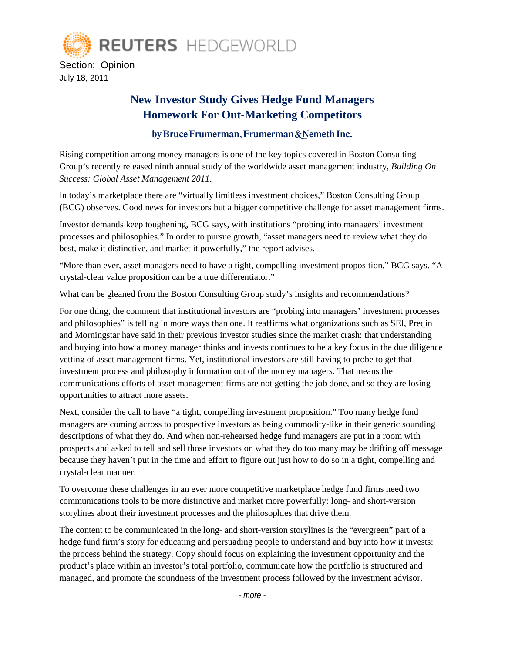

## **New Investor Study Gives Hedge Fund Managers Homework For Out-Marketing Competitors**

## by Bruce Frumerman, Frumerman & Nemeth Inc.

Rising competition among money managers is one of the key topics covered in Boston Consulting Group's recently released ninth annual study of the worldwide asset management industry, *Building On Success: Global Asset Management 2011*.

In today's marketplace there are "virtually limitless investment choices," Boston Consulting Group (BCG) observes. Good news for investors but a bigger competitive challenge for asset management firms.

Investor demands keep toughening, BCG says, with institutions "probing into managers' investment processes and philosophies." In order to pursue growth, "asset managers need to review what they do best, make it distinctive, and market it powerfully," the report advises.

"More than ever, asset managers need to have a tight, compelling investment proposition," BCG says. "A crystal-clear value proposition can be a true differentiator."

What can be gleaned from the Boston Consulting Group study's insights and recommendations?

For one thing, the comment that institutional investors are "probing into managers' investment processes and philosophies" is telling in more ways than one. It reaffirms what organizations such as SEI, Preqin and Morningstar have said in their previous investor studies since the market crash: that understanding and buying into how a money manager thinks and invests continues to be a key focus in the due diligence vetting of asset management firms. Yet, institutional investors are still having to probe to get that investment process and philosophy information out of the money managers. That means the communications efforts of asset management firms are not getting the job done, and so they are losing opportunities to attract more assets.

Next, consider the call to have "a tight, compelling investment proposition." Too many hedge fund managers are coming across to prospective investors as being commodity-like in their generic sounding descriptions of what they do. And when non-rehearsed hedge fund managers are put in a room with prospects and asked to tell and sell those investors on what they do too many may be drifting off message because they haven't put in the time and effort to figure out just how to do so in a tight, compelling and crystal-clear manner.

To overcome these challenges in an ever more competitive marketplace hedge fund firms need two communications tools to be more distinctive and market more powerfully: long- and short-version storylines about their investment processes and the philosophies that drive them.

The content to be communicated in the long- and short-version storylines is the "evergreen" part of a hedge fund firm's story for educating and persuading people to understand and buy into how it invests: the process behind the strategy. Copy should focus on explaining the investment opportunity and the product's place within an investor's total portfolio, communicate how the portfolio is structured and managed, and promote the soundness of the investment process followed by the investment advisor.